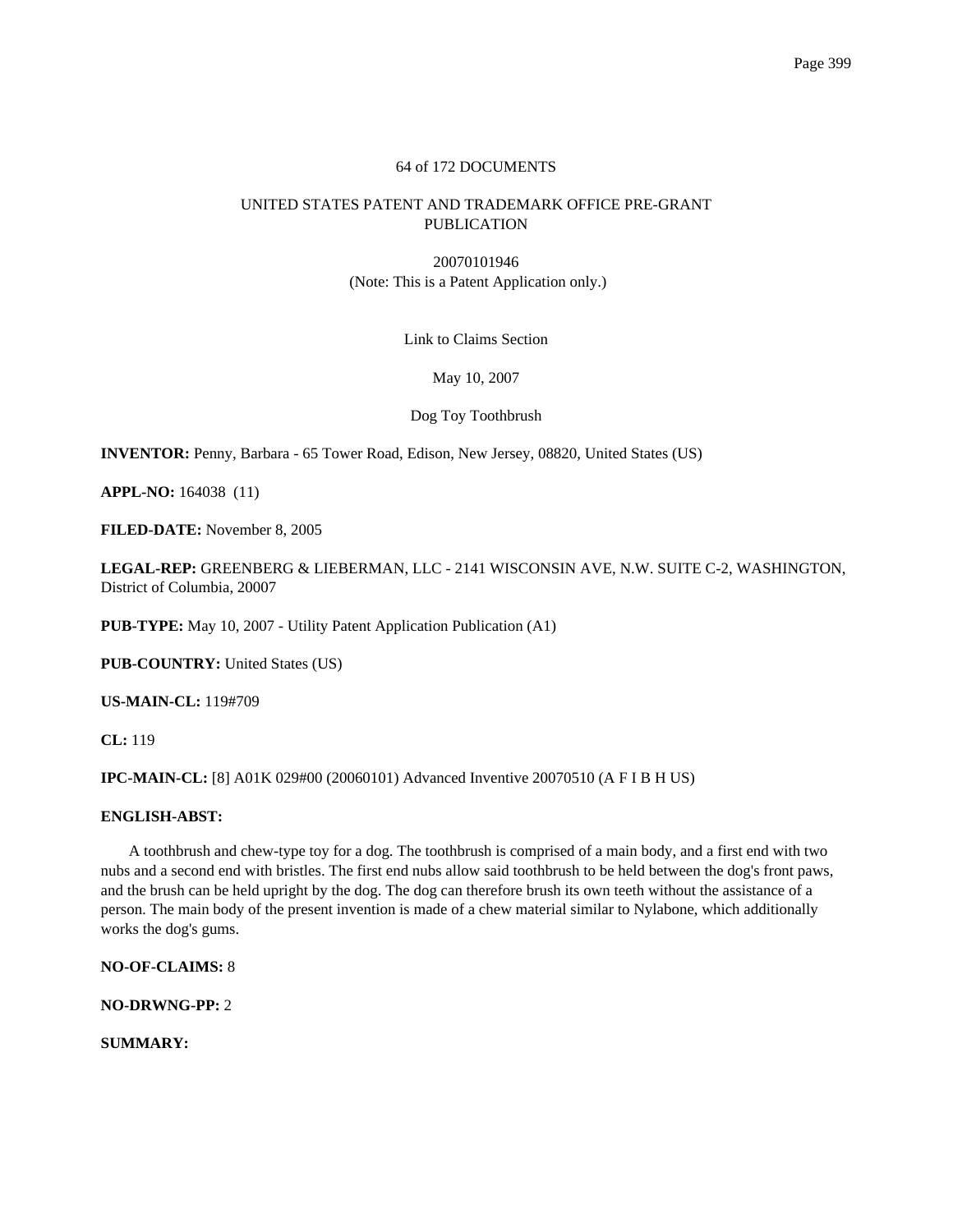## 64 of 172 DOCUMENTS

# UNITED STATES PATENT AND TRADEMARK OFFICE PRE-GRANT PUBLICATION

20070101946 (Note: This is a Patent Application only.)

Link to Claims Section

May 10, 2007

Dog Toy Toothbrush

**INVENTOR:** Penny, Barbara - 65 Tower Road, Edison, New Jersey, 08820, United States (US)

**APPL-NO:** 164038 (11)

**FILED-DATE:** November 8, 2005

**LEGAL-REP:** GREENBERG & LIEBERMAN, LLC - 2141 WISCONSIN AVE, N.W. SUITE C-2, WASHINGTON, District of Columbia, 20007

**PUB-TYPE:** May 10, 2007 - Utility Patent Application Publication (A1)

**PUB-COUNTRY:** United States (US)

**US-MAIN-CL:** 119#709

**CL:** 119

**IPC-MAIN-CL:** [8] A01K 029#00 (20060101) Advanced Inventive 20070510 (A F I B H US)

## **ENGLISH-ABST:**

A toothbrush and chew-type toy for a dog. The toothbrush is comprised of a main body, and a first end with two nubs and a second end with bristles. The first end nubs allow said toothbrush to be held between the dog's front paws, and the brush can be held upright by the dog. The dog can therefore brush its own teeth without the assistance of a person. The main body of the present invention is made of a chew material similar to Nylabone, which additionally works the dog's gums.

**NO-OF-CLAIMS:** 8

**NO-DRWNG-PP:** 2

**SUMMARY:**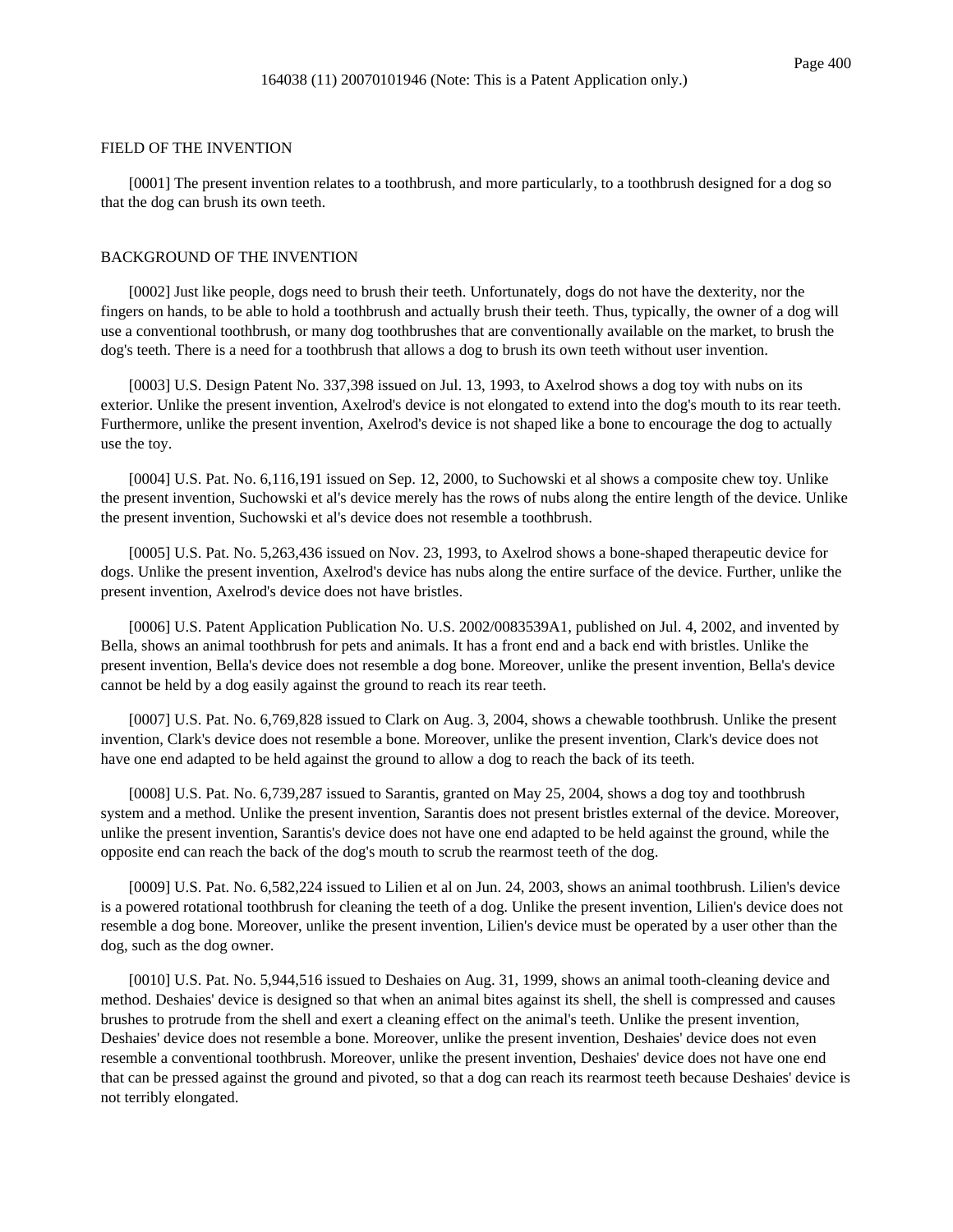#### FIELD OF THE INVENTION

[0001] The present invention relates to a toothbrush, and more particularly, to a toothbrush designed for a dog so that the dog can brush its own teeth.

## BACKGROUND OF THE INVENTION

[0002] Just like people, dogs need to brush their teeth. Unfortunately, dogs do not have the dexterity, nor the fingers on hands, to be able to hold a toothbrush and actually brush their teeth. Thus, typically, the owner of a dog will use a conventional toothbrush, or many dog toothbrushes that are conventionally available on the market, to brush the dog's teeth. There is a need for a toothbrush that allows a dog to brush its own teeth without user invention.

[0003] U.S. Design Patent No. 337,398 issued on Jul. 13, 1993, to Axelrod shows a dog toy with nubs on its exterior. Unlike the present invention, Axelrod's device is not elongated to extend into the dog's mouth to its rear teeth. Furthermore, unlike the present invention, Axelrod's device is not shaped like a bone to encourage the dog to actually use the toy.

[0004] U.S. Pat. No. 6,116,191 issued on Sep. 12, 2000, to Suchowski et al shows a composite chew toy. Unlike the present invention, Suchowski et al's device merely has the rows of nubs along the entire length of the device. Unlike the present invention, Suchowski et al's device does not resemble a toothbrush.

[0005] U.S. Pat. No. 5,263,436 issued on Nov. 23, 1993, to Axelrod shows a bone-shaped therapeutic device for dogs. Unlike the present invention, Axelrod's device has nubs along the entire surface of the device. Further, unlike the present invention, Axelrod's device does not have bristles.

[0006] U.S. Patent Application Publication No. U.S. 2002/0083539A1, published on Jul. 4, 2002, and invented by Bella, shows an animal toothbrush for pets and animals. It has a front end and a back end with bristles. Unlike the present invention, Bella's device does not resemble a dog bone. Moreover, unlike the present invention, Bella's device cannot be held by a dog easily against the ground to reach its rear teeth.

[0007] U.S. Pat. No. 6,769,828 issued to Clark on Aug. 3, 2004, shows a chewable toothbrush. Unlike the present invention, Clark's device does not resemble a bone. Moreover, unlike the present invention, Clark's device does not have one end adapted to be held against the ground to allow a dog to reach the back of its teeth.

[0008] U.S. Pat. No. 6,739,287 issued to Sarantis, granted on May 25, 2004, shows a dog toy and toothbrush system and a method. Unlike the present invention, Sarantis does not present bristles external of the device. Moreover, unlike the present invention, Sarantis's device does not have one end adapted to be held against the ground, while the opposite end can reach the back of the dog's mouth to scrub the rearmost teeth of the dog.

[0009] U.S. Pat. No. 6,582,224 issued to Lilien et al on Jun. 24, 2003, shows an animal toothbrush. Lilien's device is a powered rotational toothbrush for cleaning the teeth of a dog. Unlike the present invention, Lilien's device does not resemble a dog bone. Moreover, unlike the present invention, Lilien's device must be operated by a user other than the dog, such as the dog owner.

[0010] U.S. Pat. No. 5,944,516 issued to Deshaies on Aug. 31, 1999, shows an animal tooth-cleaning device and method. Deshaies' device is designed so that when an animal bites against its shell, the shell is compressed and causes brushes to protrude from the shell and exert a cleaning effect on the animal's teeth. Unlike the present invention, Deshaies' device does not resemble a bone. Moreover, unlike the present invention, Deshaies' device does not even resemble a conventional toothbrush. Moreover, unlike the present invention, Deshaies' device does not have one end that can be pressed against the ground and pivoted, so that a dog can reach its rearmost teeth because Deshaies' device is not terribly elongated.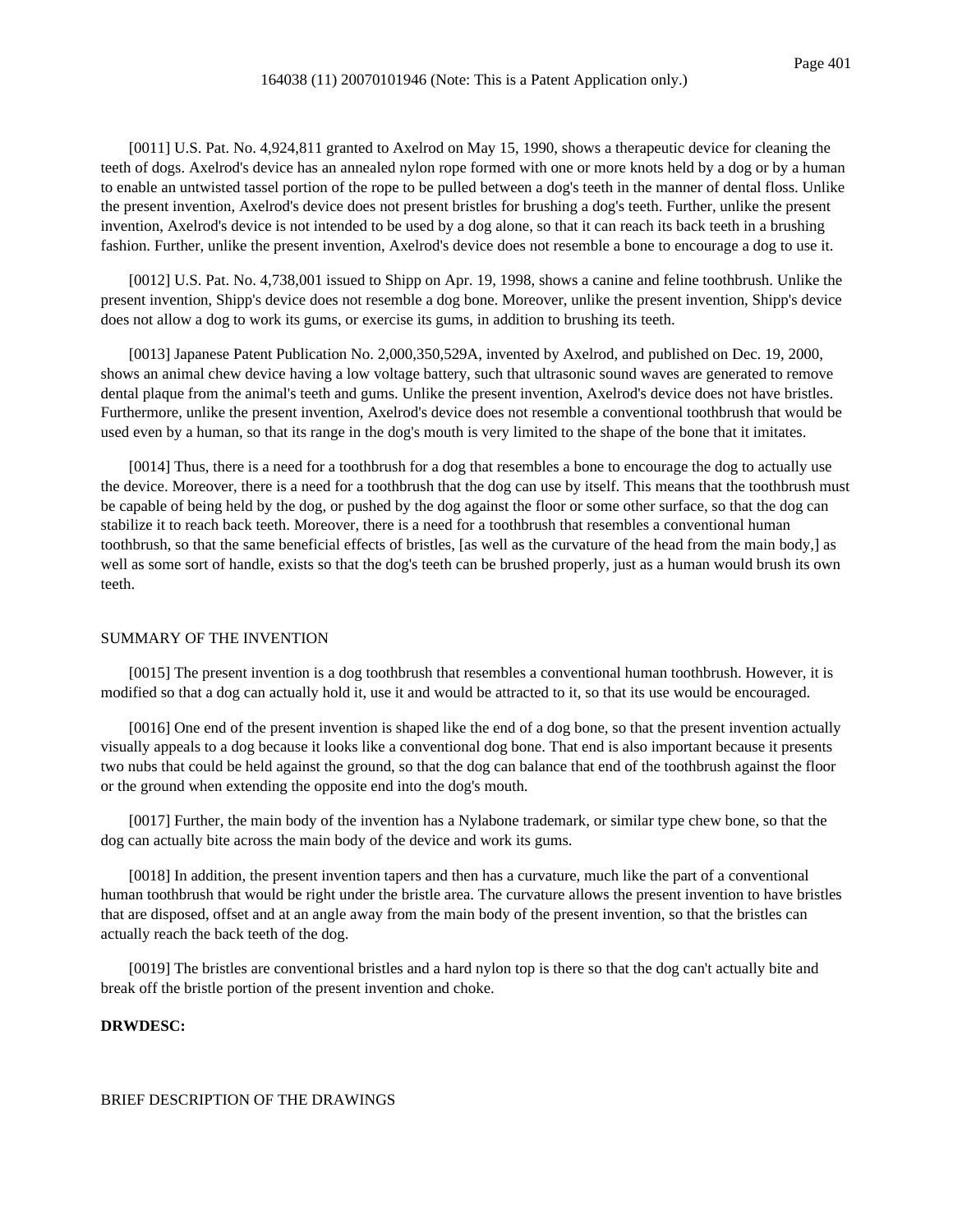[0011] U.S. Pat. No. 4,924,811 granted to Axelrod on May 15, 1990, shows a therapeutic device for cleaning the teeth of dogs. Axelrod's device has an annealed nylon rope formed with one or more knots held by a dog or by a human to enable an untwisted tassel portion of the rope to be pulled between a dog's teeth in the manner of dental floss. Unlike the present invention, Axelrod's device does not present bristles for brushing a dog's teeth. Further, unlike the present invention, Axelrod's device is not intended to be used by a dog alone, so that it can reach its back teeth in a brushing fashion. Further, unlike the present invention, Axelrod's device does not resemble a bone to encourage a dog to use it.

[0012] U.S. Pat. No. 4,738,001 issued to Shipp on Apr. 19, 1998, shows a canine and feline toothbrush. Unlike the present invention, Shipp's device does not resemble a dog bone. Moreover, unlike the present invention, Shipp's device does not allow a dog to work its gums, or exercise its gums, in addition to brushing its teeth.

[0013] Japanese Patent Publication No. 2,000,350,529A, invented by Axelrod, and published on Dec. 19, 2000, shows an animal chew device having a low voltage battery, such that ultrasonic sound waves are generated to remove dental plaque from the animal's teeth and gums. Unlike the present invention, Axelrod's device does not have bristles. Furthermore, unlike the present invention, Axelrod's device does not resemble a conventional toothbrush that would be used even by a human, so that its range in the dog's mouth is very limited to the shape of the bone that it imitates.

[0014] Thus, there is a need for a toothbrush for a dog that resembles a bone to encourage the dog to actually use the device. Moreover, there is a need for a toothbrush that the dog can use by itself. This means that the toothbrush must be capable of being held by the dog, or pushed by the dog against the floor or some other surface, so that the dog can stabilize it to reach back teeth. Moreover, there is a need for a toothbrush that resembles a conventional human toothbrush, so that the same beneficial effects of bristles, [as well as the curvature of the head from the main body,] as well as some sort of handle, exists so that the dog's teeth can be brushed properly, just as a human would brush its own teeth.

### SUMMARY OF THE INVENTION

[0015] The present invention is a dog toothbrush that resembles a conventional human toothbrush. However, it is modified so that a dog can actually hold it, use it and would be attracted to it, so that its use would be encouraged.

[0016] One end of the present invention is shaped like the end of a dog bone, so that the present invention actually visually appeals to a dog because it looks like a conventional dog bone. That end is also important because it presents two nubs that could be held against the ground, so that the dog can balance that end of the toothbrush against the floor or the ground when extending the opposite end into the dog's mouth.

[0017] Further, the main body of the invention has a Nylabone trademark, or similar type chew bone, so that the dog can actually bite across the main body of the device and work its gums.

[0018] In addition, the present invention tapers and then has a curvature, much like the part of a conventional human toothbrush that would be right under the bristle area. The curvature allows the present invention to have bristles that are disposed, offset and at an angle away from the main body of the present invention, so that the bristles can actually reach the back teeth of the dog.

[0019] The bristles are conventional bristles and a hard nylon top is there so that the dog can't actually bite and break off the bristle portion of the present invention and choke.

# **DRWDESC:**

### BRIEF DESCRIPTION OF THE DRAWINGS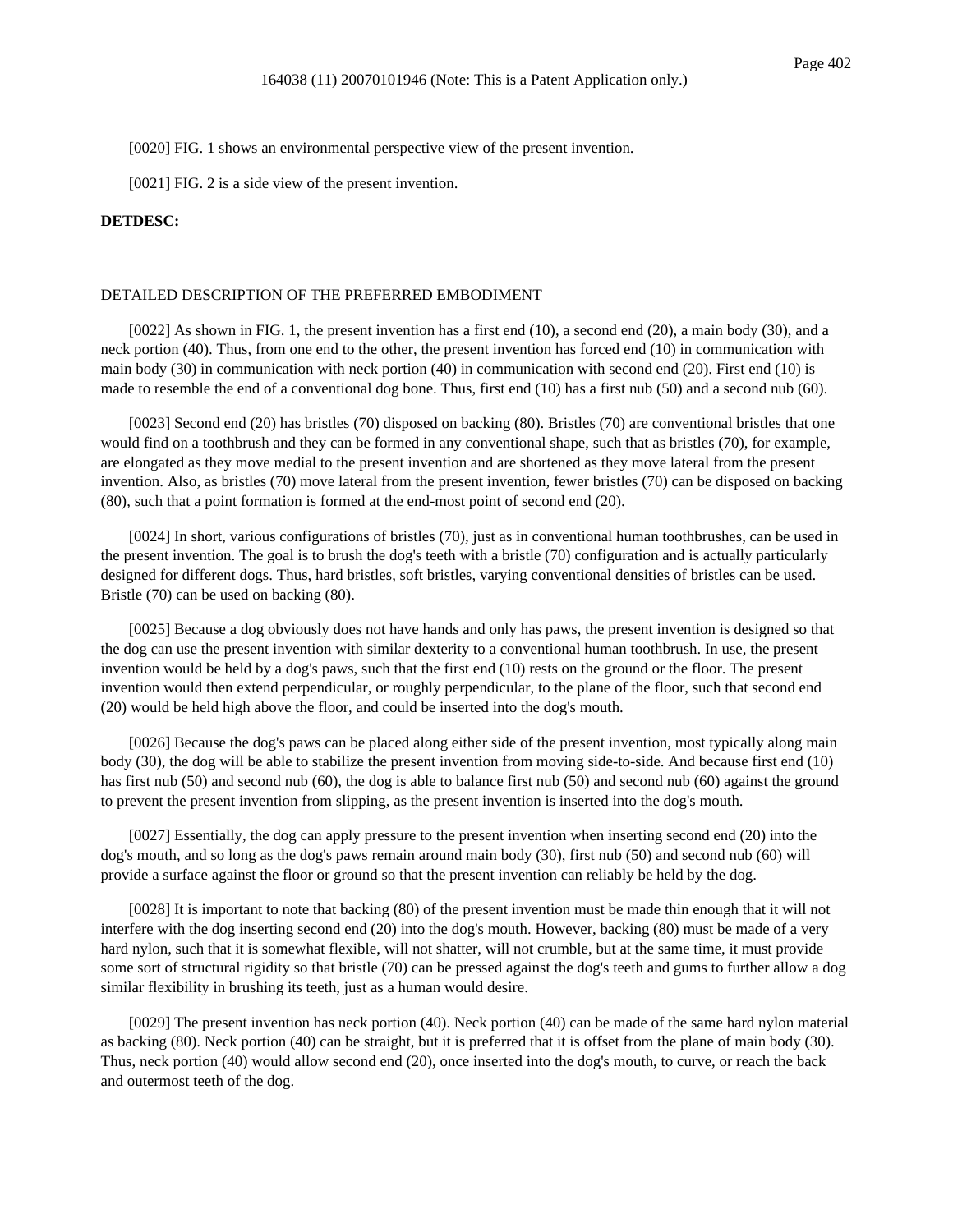[0020] FIG. 1 shows an environmental perspective view of the present invention.

[0021] FIG. 2 is a side view of the present invention.

#### **DETDESC:**

#### DETAILED DESCRIPTION OF THE PREFERRED EMBODIMENT

[0022] As shown in FIG. 1, the present invention has a first end (10), a second end (20), a main body (30), and a neck portion (40). Thus, from one end to the other, the present invention has forced end (10) in communication with main body (30) in communication with neck portion (40) in communication with second end (20). First end (10) is made to resemble the end of a conventional dog bone. Thus, first end (10) has a first nub (50) and a second nub (60).

[0023] Second end (20) has bristles (70) disposed on backing (80). Bristles (70) are conventional bristles that one would find on a toothbrush and they can be formed in any conventional shape, such that as bristles (70), for example, are elongated as they move medial to the present invention and are shortened as they move lateral from the present invention. Also, as bristles (70) move lateral from the present invention, fewer bristles (70) can be disposed on backing (80), such that a point formation is formed at the end-most point of second end (20).

[0024] In short, various configurations of bristles (70), just as in conventional human toothbrushes, can be used in the present invention. The goal is to brush the dog's teeth with a bristle (70) configuration and is actually particularly designed for different dogs. Thus, hard bristles, soft bristles, varying conventional densities of bristles can be used. Bristle (70) can be used on backing (80).

[0025] Because a dog obviously does not have hands and only has paws, the present invention is designed so that the dog can use the present invention with similar dexterity to a conventional human toothbrush. In use, the present invention would be held by a dog's paws, such that the first end (10) rests on the ground or the floor. The present invention would then extend perpendicular, or roughly perpendicular, to the plane of the floor, such that second end (20) would be held high above the floor, and could be inserted into the dog's mouth.

[0026] Because the dog's paws can be placed along either side of the present invention, most typically along main body (30), the dog will be able to stabilize the present invention from moving side-to-side. And because first end (10) has first nub (50) and second nub (60), the dog is able to balance first nub (50) and second nub (60) against the ground to prevent the present invention from slipping, as the present invention is inserted into the dog's mouth.

[0027] Essentially, the dog can apply pressure to the present invention when inserting second end (20) into the dog's mouth, and so long as the dog's paws remain around main body (30), first nub (50) and second nub (60) will provide a surface against the floor or ground so that the present invention can reliably be held by the dog.

[0028] It is important to note that backing (80) of the present invention must be made thin enough that it will not interfere with the dog inserting second end (20) into the dog's mouth. However, backing (80) must be made of a very hard nylon, such that it is somewhat flexible, will not shatter, will not crumble, but at the same time, it must provide some sort of structural rigidity so that bristle (70) can be pressed against the dog's teeth and gums to further allow a dog similar flexibility in brushing its teeth, just as a human would desire.

[0029] The present invention has neck portion (40). Neck portion (40) can be made of the same hard nylon material as backing (80). Neck portion (40) can be straight, but it is preferred that it is offset from the plane of main body (30). Thus, neck portion (40) would allow second end (20), once inserted into the dog's mouth, to curve, or reach the back and outermost teeth of the dog.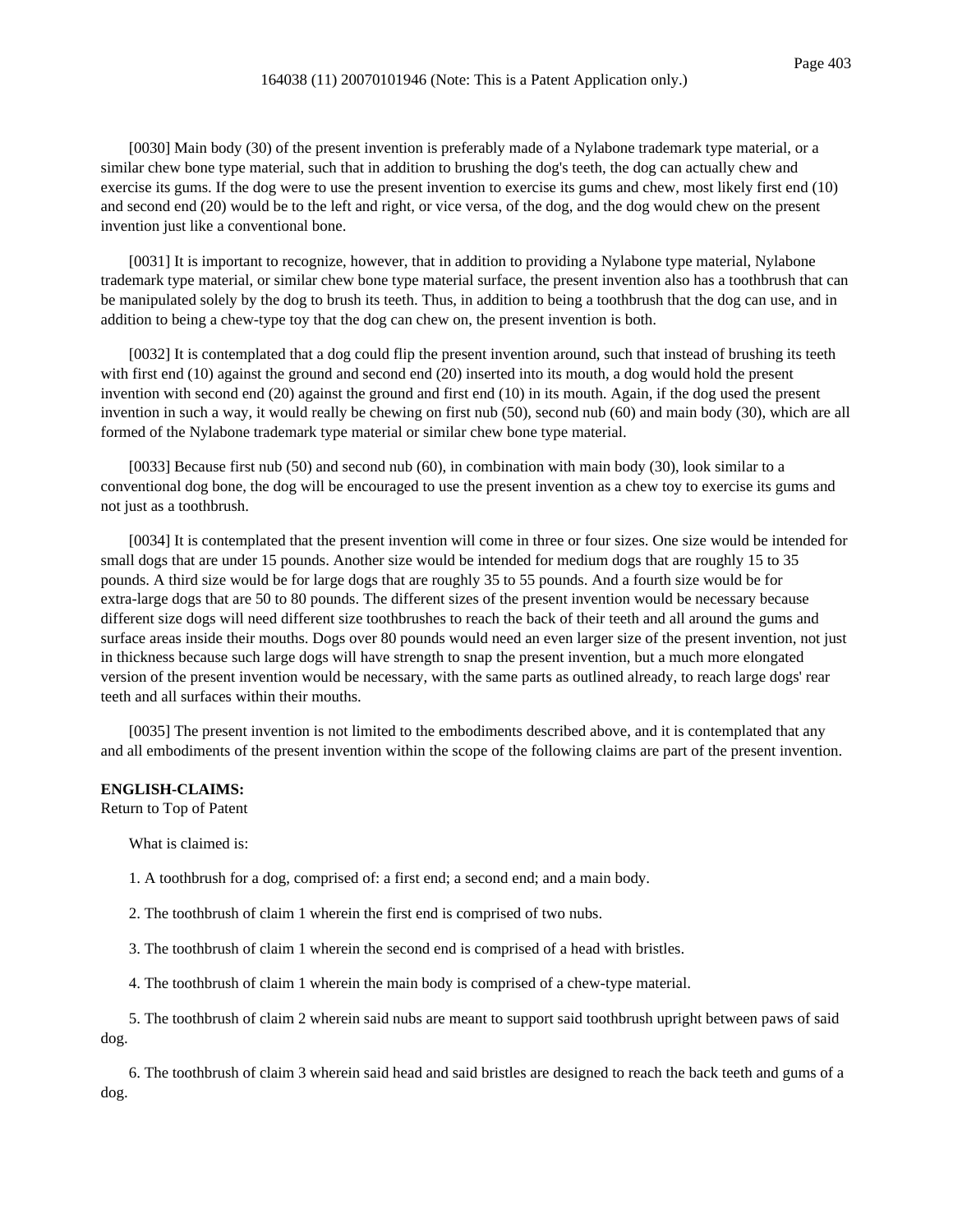[0030] Main body (30) of the present invention is preferably made of a Nylabone trademark type material, or a similar chew bone type material, such that in addition to brushing the dog's teeth, the dog can actually chew and exercise its gums. If the dog were to use the present invention to exercise its gums and chew, most likely first end (10) and second end (20) would be to the left and right, or vice versa, of the dog, and the dog would chew on the present invention just like a conventional bone.

[0031] It is important to recognize, however, that in addition to providing a Nylabone type material, Nylabone trademark type material, or similar chew bone type material surface, the present invention also has a toothbrush that can be manipulated solely by the dog to brush its teeth. Thus, in addition to being a toothbrush that the dog can use, and in addition to being a chew-type toy that the dog can chew on, the present invention is both.

[0032] It is contemplated that a dog could flip the present invention around, such that instead of brushing its teeth with first end (10) against the ground and second end (20) inserted into its mouth, a dog would hold the present invention with second end (20) against the ground and first end (10) in its mouth. Again, if the dog used the present invention in such a way, it would really be chewing on first nub (50), second nub (60) and main body (30), which are all formed of the Nylabone trademark type material or similar chew bone type material.

[0033] Because first nub (50) and second nub (60), in combination with main body (30), look similar to a conventional dog bone, the dog will be encouraged to use the present invention as a chew toy to exercise its gums and not just as a toothbrush.

[0034] It is contemplated that the present invention will come in three or four sizes. One size would be intended for small dogs that are under 15 pounds. Another size would be intended for medium dogs that are roughly 15 to 35 pounds. A third size would be for large dogs that are roughly 35 to 55 pounds. And a fourth size would be for extra-large dogs that are 50 to 80 pounds. The different sizes of the present invention would be necessary because different size dogs will need different size toothbrushes to reach the back of their teeth and all around the gums and surface areas inside their mouths. Dogs over 80 pounds would need an even larger size of the present invention, not just in thickness because such large dogs will have strength to snap the present invention, but a much more elongated version of the present invention would be necessary, with the same parts as outlined already, to reach large dogs' rear teeth and all surfaces within their mouths.

[0035] The present invention is not limited to the embodiments described above, and it is contemplated that any and all embodiments of the present invention within the scope of the following claims are part of the present invention.

### **ENGLISH-CLAIMS:**

Return to Top of Patent

What is claimed is:

1. A toothbrush for a dog, comprised of: a first end; a second end; and a main body.

2. The toothbrush of claim 1 wherein the first end is comprised of two nubs.

3. The toothbrush of claim 1 wherein the second end is comprised of a head with bristles.

4. The toothbrush of claim 1 wherein the main body is comprised of a chew-type material.

5. The toothbrush of claim 2 wherein said nubs are meant to support said toothbrush upright between paws of said dog.

6. The toothbrush of claim 3 wherein said head and said bristles are designed to reach the back teeth and gums of a dog.